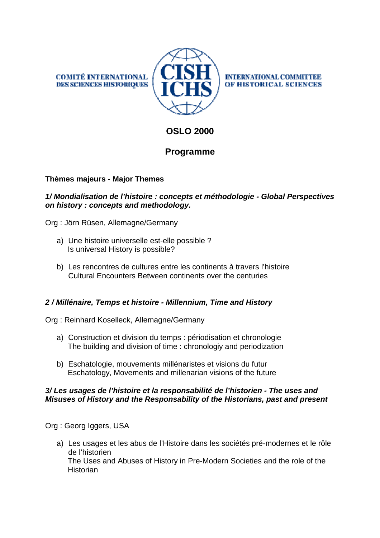**COMITÉ INTERNATIONAL DES SCIENCES HISTORIQUES** 



**INTERNATIONAL COMMITTEE** OF HISTORICAL SCIENCES

# **OSLO 2000**

## **Programme**

### **Thèmes majeurs - Major Themes**

### **1/ Mondialisation de l'histoire : concepts et méthodologie - Global Perspectives on history : concepts and methodology.**

Org : Jörn Rüsen, Allemagne/Germany

- a) Une histoire universelle est-elle possible ? Is universal History is possible?
- b) Les rencontres de cultures entre les continents à travers l'histoire Cultural Encounters Between continents over the centuries

### **2 / Millénaire, Temps et histoire - Millennium, Time and History**

Org : Reinhard Koselleck, Allemagne/Germany

- a) Construction et division du temps : périodisation et chronologie The building and division of time : chronologiy and periodization
- b) Eschatologie, mouvements millénaristes et visions du futur Eschatology, Movements and millenarian visions of the future

#### **3/ Les usages de l'histoire et la responsabilité de l'historien - The uses and Misuses of History and the Responsability of the Historians, past and present**

Org : Georg Iggers, USA

a) Les usages et les abus de l'Histoire dans les sociétés pré-modernes et le rôle de l'historien The Uses and Abuses of History in Pre-Modern Societies and the role of the **Historian**